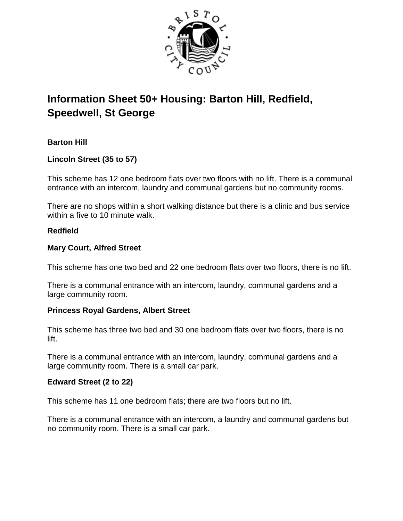

# **Information Sheet 50+ Housing: Barton Hill, Redfield, Speedwell, St George**

# **Barton Hill**

**Lincoln Street (35 to 57)**

This scheme has 12 one bedroom flats over two floors with no lift. There is a communal entrance with an intercom, laundry and communal gardens but no community rooms.

There are no shops within a short walking distance but there is a clinic and bus service within a five to 10 minute walk.

## **Redfield**

## **Mary Court, Alfred Street**

This scheme has one two bed and 22 one bedroom flats over two floors, there is no lift.

There is a communal entrance with an intercom, laundry, communal gardens and a large community room.

# **Princess Royal Gardens, Albert Street**

This scheme has three two bed and 30 one bedroom flats over two floors, there is no lift.

There is a communal entrance with an intercom, laundry, communal gardens and a large community room. There is a small car park.

# **Edward Street (2 to 22)**

This scheme has 11 one bedroom flats; there are two floors but no lift.

There is a communal entrance with an intercom, a laundry and communal gardens but no community room. There is a small car park.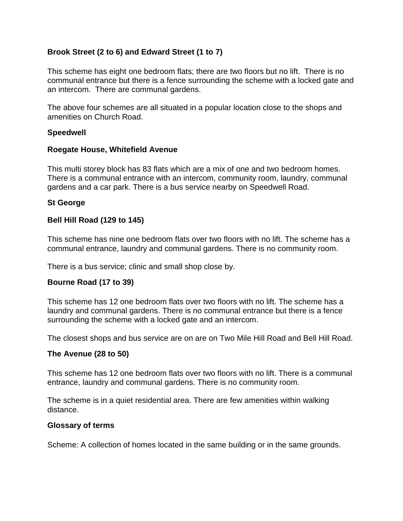# **Brook Street (2 to 6) and Edward Street (1 to 7)**

This scheme has eight one bedroom flats; there are two floors but no lift. There is no communal entrance but there is a fence surrounding the scheme with a locked gate and an intercom. There are communal gardens.

The above four schemes are all situated in a popular location close to the shops and amenities on Church Road.

#### **Speedwell**

#### **Roegate House, Whitefield Avenue**

This multi storey block has 83 flats which are a mix of one and two bedroom homes. There is a communal entrance with an intercom, community room, laundry, communal gardens and a car park. There is a bus service nearby on Speedwell Road.

# **St George**

## **Bell Hill Road (129 to 145)**

This scheme has nine one bedroom flats over two floors with no lift. The scheme has a communal entrance, laundry and communal gardens. There is no community room.

There is a bus service; clinic and small shop close by.

#### **Bourne Road (17 to 39)**

This scheme has 12 one bedroom flats over two floors with no lift. The scheme has a laundry and communal gardens. There is no communal entrance but there is a fence surrounding the scheme with a locked gate and an intercom.

The closest shops and bus service are on are on Two Mile Hill Road and Bell Hill Road.

#### **The Avenue (28 to 50)**

This scheme has 12 one bedroom flats over two floors with no lift. There is a communal entrance, laundry and communal gardens. There is no community room.

The scheme is in a quiet residential area. There are few amenities within walking distance.

#### **Glossary of terms**

Scheme: A collection of homes located in the same building or in the same grounds.